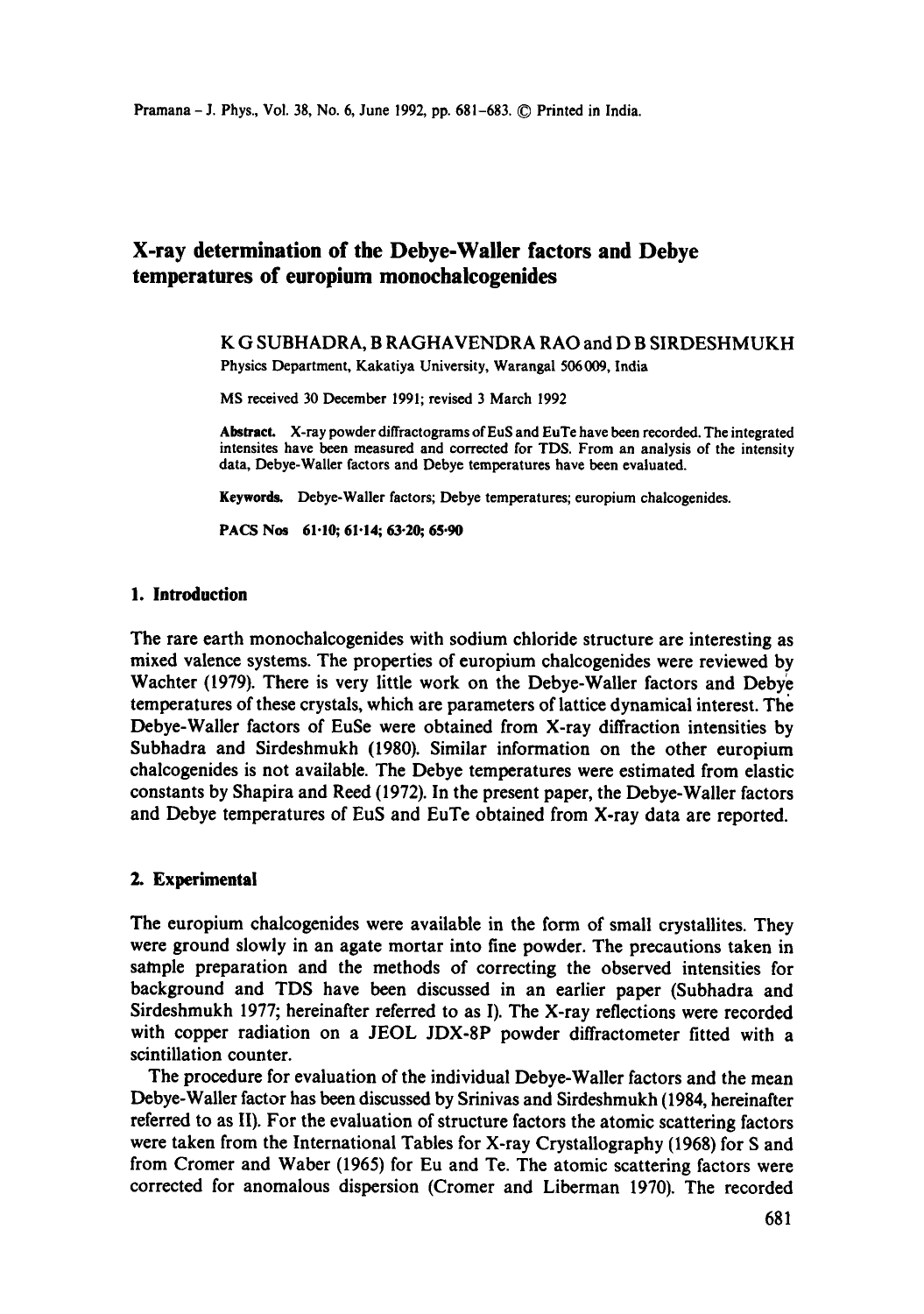# **X-ray determination of the Debye-Wailer factors and Debye temperatures of europium monochalcogenides**

## K G SUBHADRA, B RAGHAVENDRA RAO and D B SIRDESHMUKH Physics Department, Kakatiya University, Warangal 506009, India

MS received 30 December 1991; revised 3 March 1992

Abstract. X-ray powder diffraetograms of EuS and EuTe have been recorded. The integrated intensites have been measured and corrected for TDS. From an analysis of the intensity data, Debye-Waller factors and Debye temperatures have been evaluated.

Keywords. Debye-Waller factors; Debye temperatures; europium chalcogenides.

PACS Nos 61.10; 61.14; 63.20; 65.90

#### **1. Introduction**

The rare earth monochalcogenides with sodium chloride structure are interesting as mixed valence systems. The properties of europium chalcogenides were reviewed by Wachter (1979). There is very little work on the Debye-Waller factors and Debye temperatures of these crystals, which are parameters of lattice dynamical interest. The Debye-Waller factors of EuSe were obtained from X-ray diffraction intensities by Subhadra and Sirdeshmukh (1980). Similar information on the other europium chalcogenides is not available. The Debye temperatures were estimated from elastic constants by Shapira and Reed (1972). In the present paper, the Debye-Waller factors and Debye temperatures of EuS and EuTe obtained from X-ray data are reported.

#### **2. Experimental**

The europium chalcogenides were available in the form of small crystallites. They were ground slowly in an agate mortar into fine powder. The precautions taken in sample preparation and the methods of correcting the observed intensities for background and TDS have been discussed in an earlier paper (Subhadra and Sirdeshmukh 1977; hereinafter referred to as I). The X-ray reflections were recorded with copper radiation on a JEOL JDX-8P powder diffractometer fitted with a scintillation counter.

The procedure for evaluation of the individual Debye-Waller factors and the mean Debye-Waller factor has been discussed by Srinivas and Sirdeshmukh (1984, hereinafter referred to as II). For the evaluation of structure factors the atomic scattering factors were taken from the International Tables for X-ray Crystallography (1968) for S and from Cromer and Waber (1965) for Eu and Te. The atomic scattering factors were corrected for anomalous dispersion (Cromer and Liberman 1970). The recorded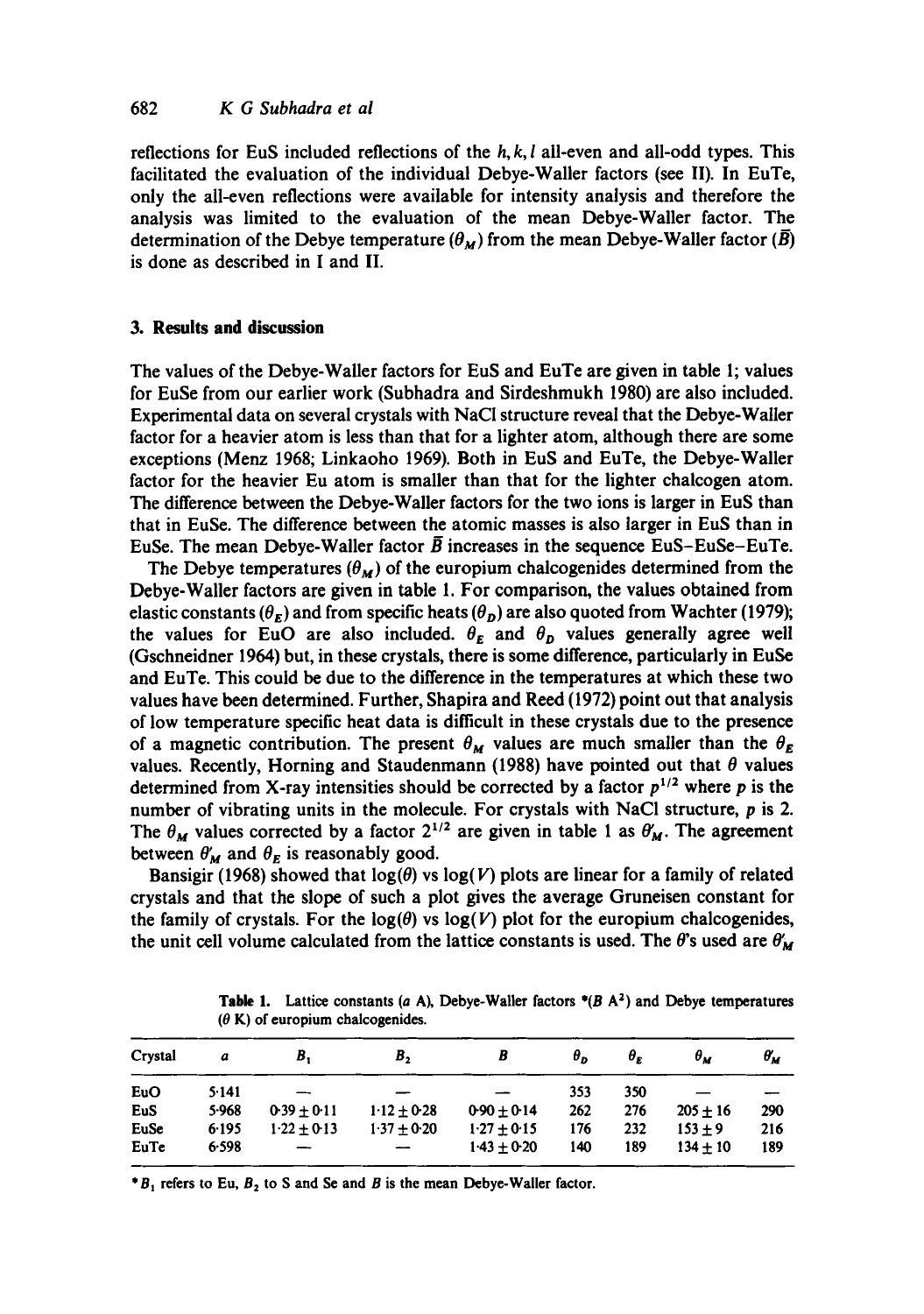reflections for EuS included reflections of the  $h, k, l$  all-even and all-odd types. This facilitated the evaluation of the individual Debye-Waller factors (see II). In EuTe, only the all-even reflections were available for intensity analysis and therefore the analysis was limited to the evaluation of the mean Debye-Waller factor. The determination of the Debye temperature  $(\theta_M)$  from the mean Debye-Waller factor  $(\overline{B})$ is done as described in I and II.

# **3. Results and discussion**

The values of the Debye-Waller factors for EuS and EuTe are given in table 1; values for EuSe from our earlier work (Subhadra and Sirdeshmukh 1980) are also included. Experimental data on several crystals with NaC1 structure reveal that the Debye-Waller factor for a heavier atom is less than that for a lighter atom, although there are some exceptions (Menz 1968; Linkaoho 1969). Both in EuS and EuTe, the Debye-Waller factor for the heavier Eu atom is smaller than that for the lighter chalcogen atom. The difference between the Debye-Waller factors for the two ions is larger in EuS than that in EuSe. The difference between the atomic masses is also larger in EuS than in EuSe. The mean Debye-Waller factor  $\bar{B}$  increases in the sequence EuS-EuSe-EuTe.

The Debye temperatures  $(\theta_M)$  of the europium chalcogenides determined from the Debye-Waller factors are given in table 1. For comparison, the values obtained from elastic constants  $(\theta_F)$  and from specific heats  $(\theta_D)$  are also quoted from Wachter (1979); the values for EuO are also included.  $\theta_E$  and  $\theta_D$  values generally agree well (Gschneidner 1964) but, in these crystals, there is some difference, particularly in EuSe and EuTe. This could be due to the difference in the temperatures at which these two values have been determined. Further, Shapira and Reed (1972) point out that analysis of low temperature specific heat data is difficult in these crystals due to the presence of a magnetic contribution. The present  $\theta_M$  values are much smaller than the  $\theta_E$ values. Recently, Horning and Staudenmann (1988) have pointed out that  $\theta$  values determined from X-ray intensities should be corrected by a factor  $p^{1/2}$  where p is the number of vibrating units in the molecule. For crystals with NaCI structure, p is 2. The  $\theta_M$  values corrected by a factor  $2^{1/2}$  are given in table 1 as  $\theta'_M$ . The agreement between  $\theta'_{\mathbf{M}}$  and  $\theta_{\mathbf{E}}$  is reasonably good.

Bansigir (1968) showed that  $log(\theta)$  vs  $log(V)$  plots are linear for a family of related crystals and that the slope of such a plot gives the average Gruneisen constant for the family of crystals. For the  $log(\theta)$  vs  $log(V)$  plot for the europium chalcogenides, the unit cell volume calculated from the lattice constants is used. The  $\theta$ 's used are  $\theta'_{M}$ 

| a     | В,            | В,            | В               | θ,  | θ.  | $\theta_M$ | $\theta_{\rm M}$ |
|-------|---------------|---------------|-----------------|-----|-----|------------|------------------|
| 5.141 |               |               |                 | 353 | 350 |            |                  |
| 5.968 | $0.39 + 0.11$ | $1.12 + 0.28$ | $0.90 + 0.14$   | 262 | 276 | $205 + 16$ | 290              |
| 6.195 | $1.22 + 0.13$ | $1.37 + 0.20$ | $1.27 + 0.15$   | 176 | 232 | $153 + 9$  | 216              |
| 6.598 |               |               | $1.43 \pm 0.20$ | 140 | 189 | $134 + 10$ | 189              |
|       |               |               |                 |     |     |            |                  |

**Table 1.** Lattice constants (a A), Debye-Waller factors  $*(B \nA<sup>2</sup>)$  and Debye temperatures  $(\theta K)$  of europium chalcogenides.

 $*B_1$  refers to Eu,  $B_2$  to S and Se and B is the mean Debye-Waller factor.